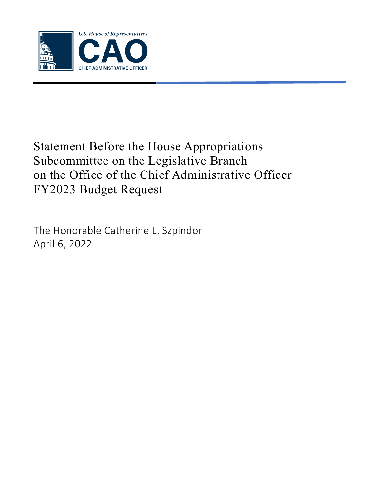

# Statement Before the House Appropriations Subcommittee on the Legislative Branch on the Office of the Chief Administrative Officer FY2023 Budget Request

The Honorable Catherine L. Szpindor April 6, 2022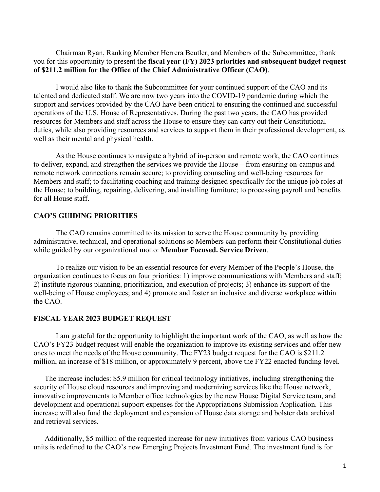Chairman Ryan, Ranking Member Herrera Beutler, and Members of the Subcommittee, thank you for this opportunity to present the **fiscal year (FY) 2023 priorities and subsequent budget request of \$211.2 million for the Office of the Chief Administrative Officer (CAO)**.

I would also like to thank the Subcommittee for your continued support of the CAO and its talented and dedicated staff. We are now two years into the COVID-19 pandemic during which the support and services provided by the CAO have been critical to ensuring the continued and successful operations of the U.S. House of Representatives. During the past two years, the CAO has provided resources for Members and staff across the House to ensure they can carry out their Constitutional duties, while also providing resources and services to support them in their professional development, as well as their mental and physical health.

As the House continues to navigate a hybrid of in-person and remote work, the CAO continues to deliver, expand, and strengthen the services we provide the House – from ensuring on-campus and remote network connections remain secure; to providing counseling and well-being resources for Members and staff; to facilitating coaching and training designed specifically for the unique job roles at the House; to building, repairing, delivering, and installing furniture; to processing payroll and benefits for all House staff.

# **CAO'S GUIDING PRIORITIES**

The CAO remains committed to its mission to serve the House community by providing administrative, technical, and operational solutions so Members can perform their Constitutional duties while guided by our organizational motto: **Member Focused. Service Driven**.

To realize our vision to be an essential resource for every Member of the People's House, the organization continues to focus on four priorities: 1) improve communications with Members and staff; 2) institute rigorous planning, prioritization, and execution of projects; 3) enhance its support of the well-being of House employees; and 4) promote and foster an inclusive and diverse workplace within the CAO.

# **FISCAL YEAR 2023 BUDGET REQUEST**

I am grateful for the opportunity to highlight the important work of the CAO, as well as how the CAO's FY23 budget request will enable the organization to improve its existing services and offer new ones to meet the needs of the House community. The FY23 budget request for the CAO is \$211.2 million, an increase of \$18 million, or approximately 9 percent, above the FY22 enacted funding level.

The increase includes: \$5.9 million for critical technology initiatives, including strengthening the security of House cloud resources and improving and modernizing services like the House network, innovative improvements to Member office technologies by the new House Digital Service team, and development and operational support expenses for the Appropriations Submission Application. This increase will also fund the deployment and expansion of House data storage and bolster data archival and retrieval services.

Additionally, \$5 million of the requested increase for new initiatives from various CAO business units is redefined to the CAO's new Emerging Projects Investment Fund. The investment fund is for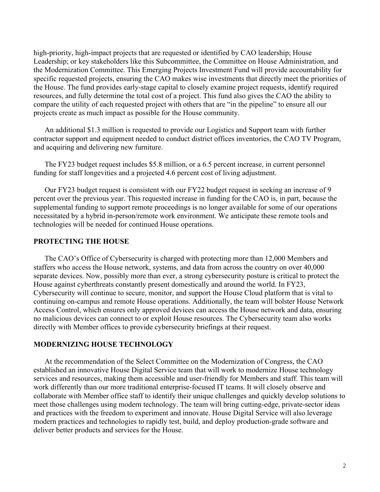high-priority, high-impact projects that are requested or identified by CAO leadership; House Leadership; or key stakeholders like this Subcommittee, the Committee on House Administration, and the Modernization Committee. This Emerging Projects Investment Fund will provide accountability for specific requested projects, ensuring the CAO makes wise investments that directly meet the priorities of the House. The fund provides early-stage capital to closely examine project requests, identify required resources, and fully determine the total cost of a project. This fund also gives the CAO the ability to compare the utility of each requested project with others that are "in the pipeline" to ensure all our projects create as much impact as possible for the House community.

An additional \$1.3 million is requested to provide our Logistics and Support team with further contractor support and equipment needed to conduct district offices inventories, the CAO TV Program, and acquiring and delivering new furniture.

The FY23 budget request includes \$5.8 million, or a 6.5 percent increase, in current personnel funding for staff longevities and a projected 4.6 percent cost of living adjustment.

Our FY23 budget request is consistent with our FY22 budget request in seeking an increase of 9 percent over the previous year. This requested increase in funding for the CAO is, in part, because the supplemental funding to support remote proceedings is no longer available for some of our operations necessitated by a hybrid in-person/remote work environment. We anticipate these remote tools and technologies will be needed for continued House operations.

# **PROTECTING THE HOUSE**

The CAO's Office of Cybersecurity is charged with protecting more than 12,000 Members and staffers who access the House network, systems, and data from across the country on over 40,000 separate devices. Now, possibly more than ever, a strong cybersecurity posture is critical to protect the House against cyberthreats constantly present domestically and around the world. In FY23, Cybersecurity will continue to secure, monitor, and support the House Cloud platform that is vital to continuing on-campus and remote House operations. Additionally, the team will bolster House Network Access Control, which ensures only approved devices can access the House network and data, ensuring no malicious devices can connect to or exploit House resources. The Cybersecurity team also works directly with Member offices to provide cybersecurity briefings at their request.

# **MODERNIZING HOUSE TECHNOLOGY**

At the recommendation of the Select Committee on the Modernization of Congress, the CAO established an innovative House Digital Service team that will work to modernize House technology services and resources, making them accessible and user-friendly for Members and staff. This team will work differently than our more traditional enterprise-focused IT teams. It will closely observe and collaborate with Member office staff to identify their unique challenges and quickly develop solutions to meet those challenges using modern technology. The team will bring cutting-edge, private-sector ideas and practices with the freedom to experiment and innovate. House Digital Service will also leverage modern practices and technologies to rapidly test, build, and deploy production-grade software and deliver better products and services for the House.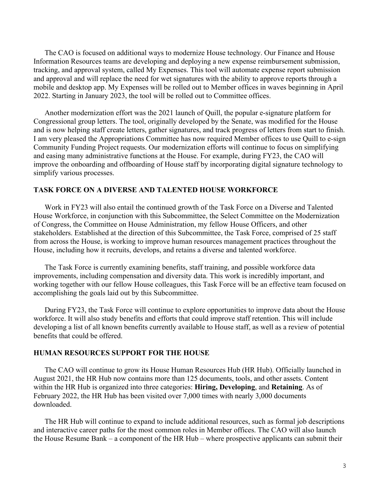The CAO is focused on additional ways to modernize House technology. Our Finance and House Information Resources teams are developing and deploying a new expense reimbursement submission, tracking, and approval system, called My Expenses. This tool will automate expense report submission and approval and will replace the need for wet signatures with the ability to approve reports through a mobile and desktop app. My Expenses will be rolled out to Member offices in waves beginning in April 2022. Starting in January 2023, the tool will be rolled out to Committee offices.

Another modernization effort was the 2021 launch of Quill, the popular e-signature platform for Congressional group letters. The tool, originally developed by the Senate, was modified for the House and is now helping staff create letters, gather signatures, and track progress of letters from start to finish. I am very pleased the Appropriations Committee has now required Member offices to use Quill to e-sign Community Funding Project requests. Our modernization efforts will continue to focus on simplifying and easing many administrative functions at the House. For example, during FY23, the CAO will improve the onboarding and offboarding of House staff by incorporating digital signature technology to simplify various processes.

#### **TASK FORCE ON A DIVERSE AND TALENTED HOUSE WORKFORCE**

Work in FY23 will also entail the continued growth of the Task Force on a Diverse and Talented House Workforce, in conjunction with this Subcommittee, the Select Committee on the Modernization of Congress, the Committee on House Administration, my fellow House Officers, and other stakeholders. Established at the direction of this Subcommittee, the Task Force, comprised of 25 staff from across the House, is working to improve human resources management practices throughout the House, including how it recruits, develops, and retains a diverse and talented workforce.

The Task Force is currently examining benefits, staff training, and possible workforce data improvements, including compensation and diversity data. This work is incredibly important, and working together with our fellow House colleagues, this Task Force will be an effective team focused on accomplishing the goals laid out by this Subcommittee.

During FY23, the Task Force will continue to explore opportunities to improve data about the House workforce. It will also study benefits and efforts that could improve staff retention. This will include developing a list of all known benefits currently available to House staff, as well as a review of potential benefits that could be offered.

#### **HUMAN RESOURCES SUPPORT FOR THE HOUSE**

The CAO will continue to grow its House Human Resources Hub (HR Hub). Officially launched in August 2021, the HR Hub now contains more than 125 documents, tools, and other assets. Content within the HR Hub is organized into three categories: **Hiring, Developing**, and **Retaining**. As of February 2022, the HR Hub has been visited over 7,000 times with nearly 3,000 documents downloaded.

The HR Hub will continue to expand to include additional resources, such as formal job descriptions and interactive career paths for the most common roles in Member offices. The CAO will also launch the House Resume Bank – a component of the HR Hub – where prospective applicants can submit their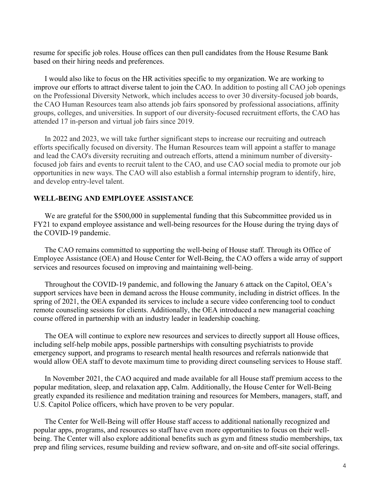resume for specific job roles. House offices can then pull candidates from the House Resume Bank based on their hiring needs and preferences.

I would also like to focus on the HR activities specific to my organization. We are working to improve our efforts to attract diverse talent to join the CAO. In addition to posting all CAO job openings on the Professional Diversity Network, which includes access to over 30 diversity-focused job boards, the CAO Human Resources team also attends job fairs sponsored by professional associations, affinity groups, colleges, and universities. In support of our diversity-focused recruitment efforts, the CAO has attended 17 in-person and virtual job fairs since 2019.

In 2022 and 2023, we will take further significant steps to increase our recruiting and outreach efforts specifically focused on diversity. The Human Resources team will appoint a staffer to manage and lead the CAO's diversity recruiting and outreach efforts, attend a minimum number of diversityfocused job fairs and events to recruit talent to the CAO, and use CAO social media to promote our job opportunities in new ways. The CAO will also establish a formal internship program to identify, hire, and develop entry-level talent.

# **WELL-BEING AND EMPLOYEE ASSISTANCE**

We are grateful for the \$500,000 in supplemental funding that this Subcommittee provided us in FY21 to expand employee assistance and well-being resources for the House during the trying days of the COVID-19 pandemic.

The CAO remains committed to supporting the well-being of House staff. Through its Office of Employee Assistance (OEA) and House Center for Well-Being, the CAO offers a wide array of support services and resources focused on improving and maintaining well-being.

Throughout the COVID-19 pandemic, and following the January 6 attack on the Capitol, OEA's support services have been in demand across the House community, including in district offices. In the spring of 2021, the OEA expanded its services to include a secure video conferencing tool to conduct remote counseling sessions for clients. Additionally, the OEA introduced a new managerial coaching course offered in partnership with an industry leader in leadership coaching.

The OEA will continue to explore new resources and services to directly support all House offices, including self-help mobile apps, possible partnerships with consulting psychiatrists to provide emergency support, and programs to research mental health resources and referrals nationwide that would allow OEA staff to devote maximum time to providing direct counseling services to House staff.

In November 2021, the CAO acquired and made available for all House staff premium access to the popular meditation, sleep, and relaxation app, Calm. Additionally, the House Center for Well-Being greatly expanded its resilience and meditation training and resources for Members, managers, staff, and U.S. Capitol Police officers, which have proven to be very popular.

The Center for Well-Being will offer House staff access to additional nationally recognized and popular apps, programs, and resources so staff have even more opportunities to focus on their wellbeing. The Center will also explore additional benefits such as gym and fitness studio memberships, tax prep and filing services, resume building and review software, and on-site and off-site social offerings.